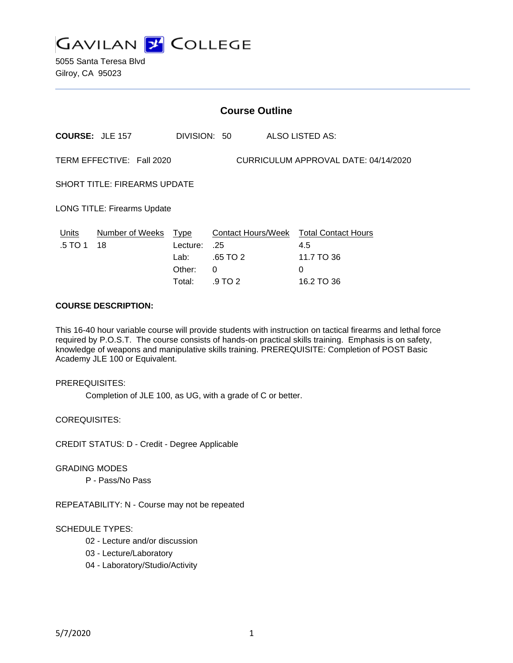

5055 Santa Teresa Blvd Gilroy, CA 95023

|                                                                   | <b>Course Outline</b>  |              |          |  |                                        |
|-------------------------------------------------------------------|------------------------|--------------|----------|--|----------------------------------------|
|                                                                   | <b>COURSE: JLE 157</b> | DIVISION: 50 |          |  | <b>ALSO LISTED AS:</b>                 |
| TERM EFFECTIVE: Fall 2020<br>CURRICULUM APPROVAL DATE: 04/14/2020 |                        |              |          |  |                                        |
| <b>SHORT TITLE: FIREARMS UPDATE</b>                               |                        |              |          |  |                                        |
| <b>LONG TITLE: Firearms Update</b>                                |                        |              |          |  |                                        |
| Units                                                             | Number of Weeks Type   |              |          |  | Contact Hours/Week Total Contact Hours |
| .5 TO 1                                                           | 18                     | Lecture:     | .25      |  | 4.5                                    |
|                                                                   |                        | Lab:         | .65 TO 2 |  | 11.7 TO 36                             |
|                                                                   |                        | Other:       | 0        |  | $\Omega$                               |
|                                                                   |                        | Total:       | .9 TO 2  |  | 16.2 TO 36                             |

#### **COURSE DESCRIPTION:**

This 16-40 hour variable course will provide students with instruction on tactical firearms and lethal force required by P.O.S.T. The course consists of hands-on practical skills training. Emphasis is on safety, knowledge of weapons and manipulative skills training. PREREQUISITE: Completion of POST Basic Academy JLE 100 or Equivalent.

PREREQUISITES:

Completion of JLE 100, as UG, with a grade of C or better.

COREQUISITES:

CREDIT STATUS: D - Credit - Degree Applicable

GRADING MODES

P - Pass/No Pass

REPEATABILITY: N - Course may not be repeated

#### SCHEDULE TYPES:

- 02 Lecture and/or discussion
- 03 Lecture/Laboratory
- 04 Laboratory/Studio/Activity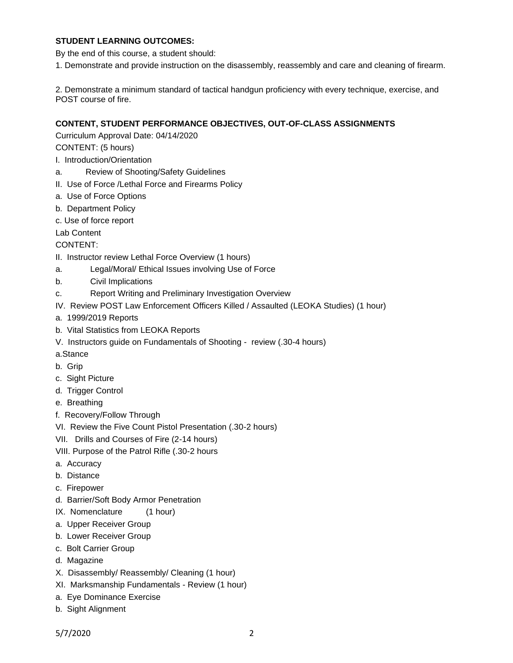### **STUDENT LEARNING OUTCOMES:**

By the end of this course, a student should:

1. Demonstrate and provide instruction on the disassembly, reassembly and care and cleaning of firearm.

2. Demonstrate a minimum standard of tactical handgun proficiency with every technique, exercise, and POST course of fire.

# **CONTENT, STUDENT PERFORMANCE OBJECTIVES, OUT-OF-CLASS ASSIGNMENTS**

Curriculum Approval Date: 04/14/2020

CONTENT: (5 hours)

- I. Introduction/Orientation
- a. Review of Shooting/Safety Guidelines
- II. Use of Force /Lethal Force and Firearms Policy
- a. Use of Force Options
- b. Department Policy
- c. Use of force report

Lab Content

# CONTENT:

- II. Instructor review Lethal Force Overview (1 hours)
- a. Legal/Moral/ Ethical Issues involving Use of Force
- b. Civil Implications
- c. Report Writing and Preliminary Investigation Overview
- IV. Review POST Law Enforcement Officers Killed / Assaulted (LEOKA Studies) (1 hour)
- a. 1999/2019 Reports
- b. Vital Statistics from LEOKA Reports
- V. Instructors guide on Fundamentals of Shooting review (.30-4 hours)

a.Stance

- b. Grip
- c. Sight Picture
- d. Trigger Control
- e. Breathing
- f. Recovery/Follow Through
- VI. Review the Five Count Pistol Presentation (.30-2 hours)
- VII. Drills and Courses of Fire (2-14 hours)
- VIII. Purpose of the Patrol Rifle (.30-2 hours
- a. Accuracy
- b. Distance
- c. Firepower
- d. Barrier/Soft Body Armor Penetration
- IX. Nomenclature (1 hour)
- a. Upper Receiver Group
- b. Lower Receiver Group
- c. Bolt Carrier Group
- d. Magazine
- X. Disassembly/ Reassembly/ Cleaning (1 hour)
- XI. Marksmanship Fundamentals Review (1 hour)
- a. Eye Dominance Exercise
- b. Sight Alignment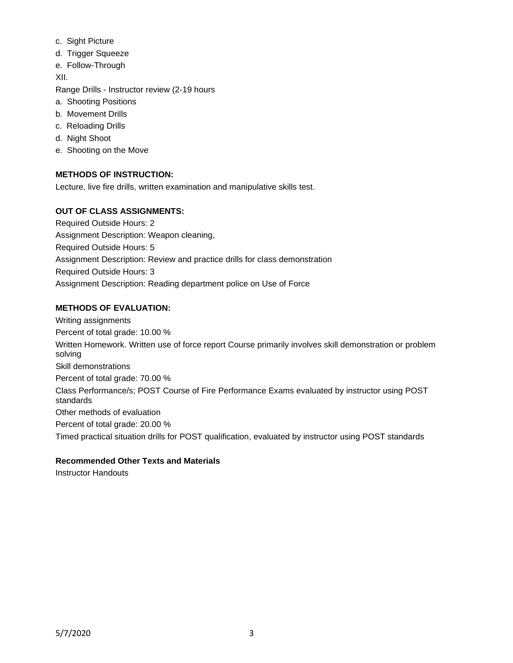- c. Sight Picture
- d. Trigger Squeeze
- e. Follow-Through

XII.

Range Drills - Instructor review (2-19 hours

- a. Shooting Positions
- b. Movement Drills
- c. Reloading Drills
- d. Night Shoot
- e. Shooting on the Move

# **METHODS OF INSTRUCTION:**

Lecture, live fire drills, written examination and manipulative skills test.

## **OUT OF CLASS ASSIGNMENTS:**

Required Outside Hours: 2 Assignment Description: Weapon cleaning, Required Outside Hours: 5 Assignment Description: Review and practice drills for class demonstration Required Outside Hours: 3 Assignment Description: Reading department police on Use of Force

## **METHODS OF EVALUATION:**

Writing assignments Percent of total grade: 10.00 % Written Homework. Written use of force report Course primarily involves skill demonstration or problem solving Skill demonstrations Percent of total grade: 70.00 % Class Performance/s; POST Course of Fire Performance Exams evaluated by instructor using POST standards Other methods of evaluation Percent of total grade: 20.00 % Timed practical situation drills for POST qualification, evaluated by instructor using POST standards

#### **Recommended Other Texts and Materials**

Instructor Handouts